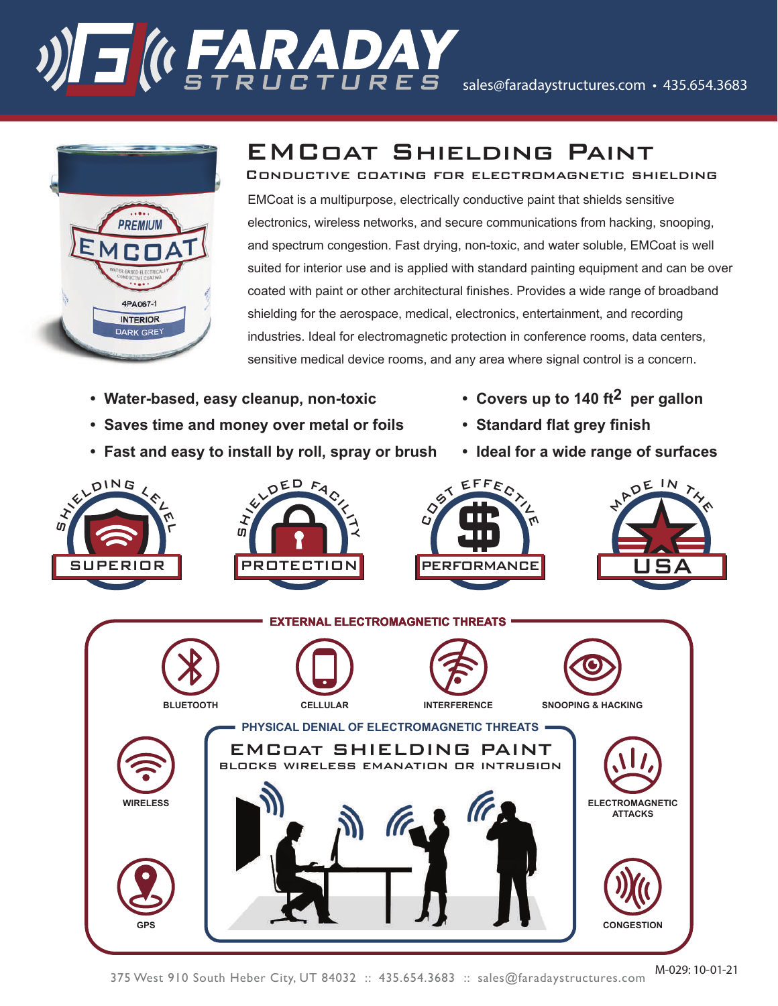# STRUCTURES Sales@faradaystructures.com • 435.654.3683



### EMCoat Shielding Paint

EMCoat is a multipurpose, electrically conductive paint that shields sensitive electronics, wireless networks, and secure communications from hacking, snooping, and spectrum congestion. Fast drying, non-toxic, and water soluble, EMCoat is well suited for interior use and is applied with standard painting equipment and can be over coated with paint or other architectural finishes. Provides a wide range of broadband shielding for the aerospace, medical, electronics, entertainment, and recording industries. Ideal for electromagnetic protection in conference rooms, data centers, sensitive medical device rooms, and any area where signal control is a concern. Conductive coating for electromagnetic shielding

- **Water-based, easy cleanup, non-toxic Covers up to 140 ft2 per gallon**
- **Saves time and money over metal or foils Standard flat grey finish**
- **Fast and easy to install by roll, spray or brush Ideal for a wide range of surfaces**
- 
- 
-